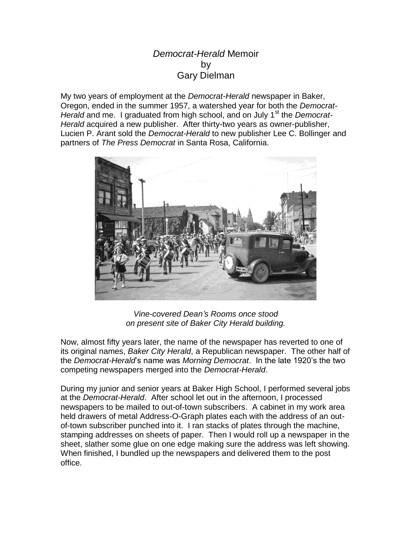## *Democrat-Herald* Memoir by Gary Dielman

My two years of employment at the *Democrat-Herald* newspaper in Baker, Oregon, ended in the summer 1957, a watershed year for both the *Democrat-Herald* and me. I graduated from high school, and on July 1<sup>st</sup> the *Democrat-Herald* acquired a new publisher. After thirty-two years as owner-publisher, Lucien P. Arant sold the *Democrat-Herald* to new publisher Lee C. Bollinger and partners of *The Press Democrat* in Santa Rosa, California.



*Vine-covered Dean's Rooms once stood on present site of Baker City Herald building.*

Now, almost fifty years later, the name of the newspaper has reverted to one of its original names, *Baker City Herald*, a Republican newspaper. The other half of the *Democrat-Herald*'s name was *Morning Democrat*. In the late 1920's the two competing newspapers merged into the *Democrat-Herald*.

During my junior and senior years at Baker High School, I performed several jobs at the *Democrat-Herald*. After school let out in the afternoon, I processed newspapers to be mailed to out-of-town subscribers. A cabinet in my work area held drawers of metal Address-O-Graph plates each with the address of an outof-town subscriber punched into it. I ran stacks of plates through the machine, stamping addresses on sheets of paper. Then I would roll up a newspaper in the sheet, slather some glue on one edge making sure the address was left showing. When finished, I bundled up the newspapers and delivered them to the post office.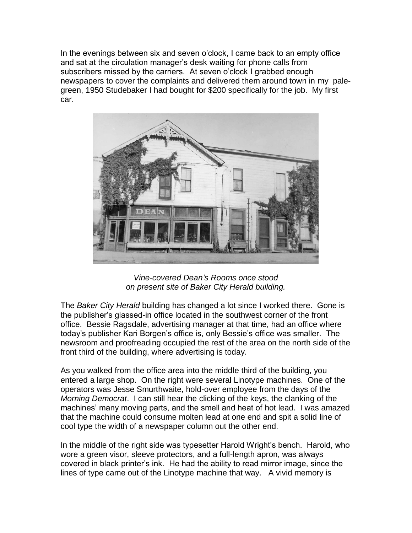In the evenings between six and seven o'clock, I came back to an empty office and sat at the circulation manager's desk waiting for phone calls from subscribers missed by the carriers. At seven o'clock I grabbed enough newspapers to cover the complaints and delivered them around town in my palegreen, 1950 Studebaker I had bought for \$200 specifically for the job. My first car.



*Vine-covered Dean's Rooms once stood on present site of Baker City Herald building.*

The *Baker City Herald* building has changed a lot since I worked there. Gone is the publisher's glassed-in office located in the southwest corner of the front office. Bessie Ragsdale, advertising manager at that time, had an office where today's publisher Kari Borgen's office is, only Bessie's office was smaller. The newsroom and proofreading occupied the rest of the area on the north side of the front third of the building, where advertising is today.

As you walked from the office area into the middle third of the building, you entered a large shop. On the right were several Linotype machines. One of the operators was Jesse Smurthwaite, hold-over employee from the days of the *Morning Democrat*. I can still hear the clicking of the keys, the clanking of the machines' many moving parts, and the smell and heat of hot lead. I was amazed that the machine could consume molten lead at one end and spit a solid line of cool type the width of a newspaper column out the other end.

In the middle of the right side was typesetter Harold Wright's bench. Harold, who wore a green visor, sleeve protectors, and a full-length apron, was always covered in black printer's ink. He had the ability to read mirror image, since the lines of type came out of the Linotype machine that way. A vivid memory is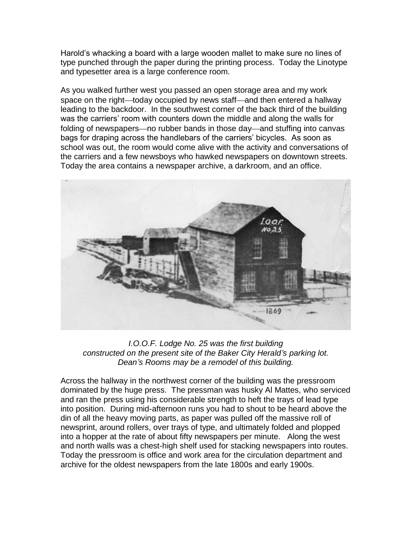Harold's whacking a board with a large wooden mallet to make sure no lines of type punched through the paper during the printing process. Today the Linotype and typesetter area is a large conference room.

As you walked further west you passed an open storage area and my work space on the right—today occupied by news staff—and then entered a hallway leading to the backdoor. In the southwest corner of the back third of the building was the carriers' room with counters down the middle and along the walls for folding of newspapers—no rubber bands in those day—and stuffing into canvas bags for draping across the handlebars of the carriers' bicycles. As soon as school was out, the room would come alive with the activity and conversations of the carriers and a few newsboys who hawked newspapers on downtown streets. Today the area contains a newspaper archive, a darkroom, and an office.



*I.O.O.F. Lodge No. 25 was the first building constructed on the present site of the Baker City Herald's parking lot. Dean's Rooms may be a remodel of this building.*

Across the hallway in the northwest corner of the building was the pressroom dominated by the huge press. The pressman was husky Al Mattes, who serviced and ran the press using his considerable strength to heft the trays of lead type into position. During mid-afternoon runs you had to shout to be heard above the din of all the heavy moving parts, as paper was pulled off the massive roll of newsprint, around rollers, over trays of type, and ultimately folded and plopped into a hopper at the rate of about fifty newspapers per minute. Along the west and north walls was a chest-high shelf used for stacking newspapers into routes. Today the pressroom is office and work area for the circulation department and archive for the oldest newspapers from the late 1800s and early 1900s.